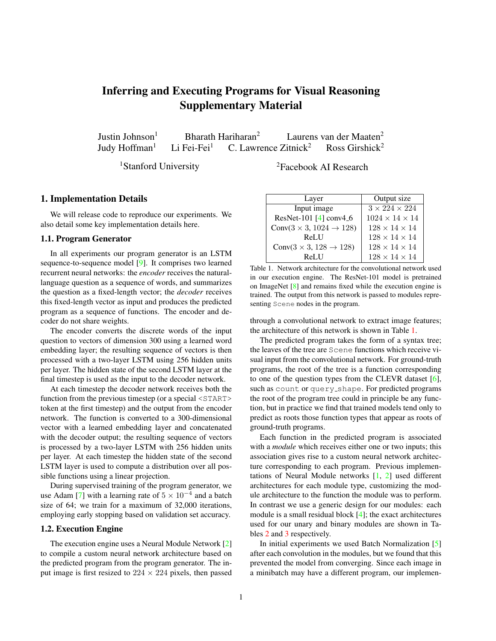# <span id="page-0-1"></span>Inferring and Executing Programs for Visual Reasoning Supplementary Material

Justin Johnson<sup>1</sup> Bharath Hariharan<sup>2</sup> Laurens van der Maaten<sup>2</sup><br>Judy Hoffman<sup>1</sup> Li Fei-Fei<sup>1</sup> C. Lawrence Zitnick<sup>2</sup> Ross Girshick<sup>2</sup> Judy Hoffman<sup>1</sup> Li Fei-Fei<sup>1</sup> C. Lawrence Zitnick<sup>2</sup>

<sup>1</sup>Stanford University <sup>2</sup>Facebook AI Research

#### 1. Implementation Details

We will release code to reproduce our experiments. We also detail some key implementation details here.

#### 1.1. Program Generator

In all experiments our program generator is an LSTM sequence-to-sequence model [\[9\]](#page-3-0). It comprises two learned recurrent neural networks: the *encoder* receives the naturallanguage question as a sequence of words, and summarizes the question as a fixed-length vector; the *decoder* receives this fixed-length vector as input and produces the predicted program as a sequence of functions. The encoder and decoder do not share weights.

The encoder converts the discrete words of the input question to vectors of dimension 300 using a learned word embedding layer; the resulting sequence of vectors is then processed with a two-layer LSTM using 256 hidden units per layer. The hidden state of the second LSTM layer at the final timestep is used as the input to the decoder network.

At each timestep the decoder network receives both the function from the previous timestep (or a special  $\leq$ START> token at the first timestep) and the output from the encoder network. The function is converted to a 300-dimensional vector with a learned embedding layer and concatenated with the decoder output; the resulting sequence of vectors is processed by a two-layer LSTM with 256 hidden units per layer. At each timestep the hidden state of the second LSTM layer is used to compute a distribution over all possible functions using a linear projection.

During supervised training of the program generator, we use Adam [\[7\]](#page-3-1) with a learning rate of  $5 \times 10^{-4}$  and a batch size of 64; we train for a maximum of 32,000 iterations, employing early stopping based on validation set accuracy.

#### 1.2. Execution Engine

The execution engine uses a Neural Module Network [\[2\]](#page-3-2) to compile a custom neural network architecture based on the predicted program from the program generator. The input image is first resized to  $224 \times 224$  pixels, then passed

| Layer                                     | Output size                |
|-------------------------------------------|----------------------------|
| Input image                               | $3 \times 224 \times 224$  |
| ResNet-101 $[4]$ conv4 <sub>-6</sub>      | $1024 \times 14 \times 14$ |
| Conv $(3 \times 3, 1024 \rightarrow 128)$ | $128 \times 14 \times 14$  |
| <b>ReLU</b>                               | $128 \times 14 \times 14$  |
| Conv $(3 \times 3, 128 \rightarrow 128)$  | $128 \times 14 \times 14$  |
| $Rel$ $II$                                | $128 \times 14 \times 14$  |

<span id="page-0-0"></span>Table 1. Network architecture for the convolutional network used in our execution engine. The ResNet-101 model is pretrained on ImageNet [\[8\]](#page-3-4) and remains fixed while the execution engine is trained. The output from this network is passed to modules representing Scene nodes in the program.

through a convolutional network to extract image features; the architecture of this network is shown in Table [1.](#page-0-0)

The predicted program takes the form of a syntax tree; the leaves of the tree are Scene functions which receive visual input from the convolutional network. For ground-truth programs, the root of the tree is a function corresponding to one of the question types from the CLEVR dataset [\[6\]](#page-3-5), such as count or query\_shape. For predicted programs the root of the program tree could in principle be any function, but in practice we find that trained models tend only to predict as roots those function types that appear as roots of ground-truth programs.

Each function in the predicted program is associated with a *module* which receives either one or two inputs; this association gives rise to a custom neural network architecture corresponding to each program. Previous implementations of Neural Module networks [\[1,](#page-3-6) [2\]](#page-3-2) used different architectures for each module type, customizing the module architecture to the function the module was to perform. In contrast we use a generic design for our modules: each module is a small residual block [\[4\]](#page-3-3); the exact architectures used for our unary and binary modules are shown in Tables [2](#page-1-0) and [3](#page-1-1) respectively.

In initial experiments we used Batch Normalization [\[5\]](#page-3-7) after each convolution in the modules, but we found that this prevented the model from converging. Since each image in a minibatch may have a different program, our implemen-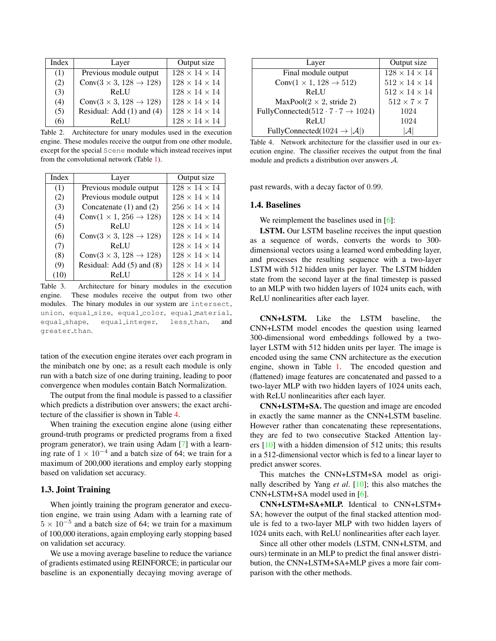<span id="page-1-3"></span>

| Index | Layer                                    | Output size               |
|-------|------------------------------------------|---------------------------|
| (1)   | Previous module output                   | $128 \times 14 \times 14$ |
| (2)   | Conv $(3 \times 3, 128 \rightarrow 128)$ | $128\times14\times14$     |
| (3)   | ReLU                                     | $128\times14\times14$     |
| (4)   | Conv $(3 \times 3, 128 \rightarrow 128)$ | $128 \times 14 \times 14$ |
| (5)   | Residual: Add (1) and (4)                | $128\times14\times14$     |
| 66    | ReLU                                     | $128 \times 14 \times 14$ |

<span id="page-1-0"></span>Table 2. Architecture for unary modules used in the execution engine. These modules receive the output from one other module, except for the special Scene module which instead receives input from the convolutional network (Table [1\)](#page-0-0).

| Index | Layer                                    | Output size               |
|-------|------------------------------------------|---------------------------|
| (1)   | Previous module output                   | $128 \times 14 \times 14$ |
| (2)   | Previous module output                   | $128 \times 14 \times 14$ |
| (3)   | Concatenate $(1)$ and $(2)$              | $256 \times 14 \times 14$ |
| (4)   | Conv $(1 \times 1, 256 \rightarrow 128)$ | $128 \times 14 \times 14$ |
| (5)   | ReLU                                     | $128 \times 14 \times 14$ |
| (6)   | Conv $(3 \times 3, 128 \rightarrow 128)$ | $128\times14\times14$     |
| (7)   | ReLU                                     | $128 \times 14 \times 14$ |
| (8)   | Conv $(3 \times 3, 128 \rightarrow 128)$ | $128 \times 14 \times 14$ |
| (9)   | Residual: Add (5) and (8)                | $128 \times 14 \times 14$ |
|       | ReLU                                     | $128 \times 14 \times 14$ |

<span id="page-1-1"></span>Table 3. Architecture for binary modules in the execution engine. These modules receive the output from two other modules. The binary modules in our system are intersect, union, equal\_size, equal\_color, equal\_material, equal\_shape, equal\_integer, less\_than, and greater than.

tation of the execution engine iterates over each program in the minibatch one by one; as a result each module is only run with a batch size of one during training, leading to poor convergence when modules contain Batch Normalization.

The output from the final module is passed to a classifier which predicts a distribution over answers; the exact architecture of the classifier is shown in Table [4.](#page-1-2)

When training the execution engine alone (using either ground-truth programs or predicted programs from a fixed program generator), we train using Adam [\[7\]](#page-3-1) with a learning rate of  $1 \times 10^{-4}$  and a batch size of 64; we train for a maximum of 200,000 iterations and employ early stopping based on validation set accuracy.

#### 1.3. Joint Training

When jointly training the program generator and execution engine, we train using Adam with a learning rate of  $5 \times 10^{-5}$  and a batch size of 64; we train for a maximum of 100,000 iterations, again employing early stopping based on validation set accuracy.

We use a moving average baseline to reduce the variance of gradients estimated using REINFORCE; in particular our baseline is an exponentially decaying moving average of

| Layer                                               | Output size               |
|-----------------------------------------------------|---------------------------|
| Final module output                                 | $128\times14\times14$     |
| Conv $(1 \times 1, 128 \rightarrow 512)$            | $512 \times 14 \times 14$ |
| ReLU                                                | $512 \times 14 \times 14$ |
| $MaxPool(2 \times 2, stride 2)$                     | $512 \times 7 \times 7$   |
| FullyConnected(512 · $7 \cdot 7 \rightarrow 1024$ ) | 1024                      |
| ReLU                                                | 1024                      |
| FullyConnected(1024 $\rightarrow$  A )              |                           |

<span id="page-1-2"></span>Table 4. Network architecture for the classifier used in our execution engine. The classifier receives the output from the final module and predicts a distribution over answers A.

past rewards, with a decay factor of 0.99.

#### 1.4. Baselines

We reimplement the baselines used in [\[6\]](#page-3-5):

LSTM. Our LSTM baseline receives the input question as a sequence of words, converts the words to 300 dimensional vectors using a learned word embedding layer, and processes the resulting sequence with a two-layer LSTM with 512 hidden units per layer. The LSTM hidden state from the second layer at the final timestep is passed to an MLP with two hidden layers of 1024 units each, with ReLU nonlinearities after each layer.

CNN+LSTM. Like the LSTM baseline, the CNN+LSTM model encodes the question using learned 300-dimensional word embeddings followed by a twolayer LSTM with 512 hidden units per layer. The image is encoded using the same CNN architecture as the execution engine, shown in Table [1.](#page-0-0) The encoded question and (flattened) image features are concatenated and passed to a two-layer MLP with two hidden layers of 1024 units each, with ReLU nonlinearities after each layer.

CNN+LSTM+SA. The question and image are encoded in exactly the same manner as the CNN+LSTM baseline. However rather than concatenating these representations, they are fed to two consecutive Stacked Attention layers [\[10\]](#page-3-8) with a hidden dimension of 512 units; this results in a 512-dimensional vector which is fed to a linear layer to predict answer scores.

This matches the CNN+LSTM+SA model as originally described by Yang *et al*. [\[10\]](#page-3-8); this also matches the CNN+LSTM+SA model used in [\[6\]](#page-3-5).

CNN+LSTM+SA+MLP. Identical to CNN+LSTM+ SA; however the output of the final stacked attention module is fed to a two-layer MLP with two hidden layers of 1024 units each, with ReLU nonlinearities after each layer.

Since all other other models (LSTM, CNN+LSTM, and ours) terminate in an MLP to predict the final answer distribution, the CNN+LSTM+SA+MLP gives a more fair comparison with the other methods.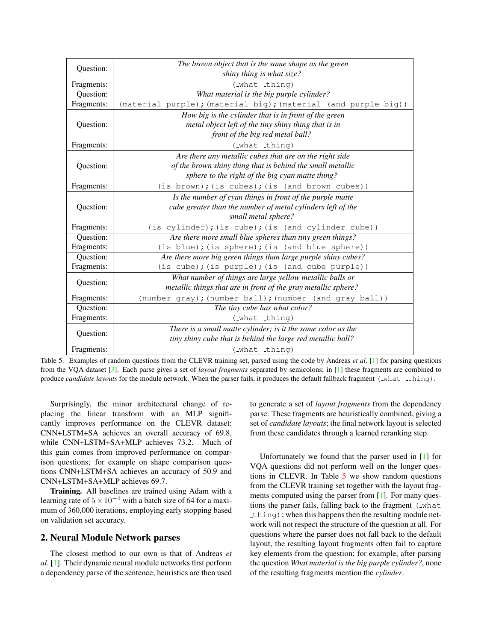<span id="page-2-1"></span>

| Question:  | The brown object that is the same shape as the green           |  |  |
|------------|----------------------------------------------------------------|--|--|
|            | shiny thing is what size?                                      |  |  |
| Fragments: | (_what _thing)                                                 |  |  |
| Question:  | What material is the big purple cylinder?                      |  |  |
| Fragments: | (material purple); (material big); (material (and purple big)) |  |  |
| Question:  | How big is the cylinder that is in front of the green          |  |  |
|            | metal object left of the tiny shiny thing that is in           |  |  |
|            | front of the big red metal ball?                               |  |  |
| Fragments: | (_what _thing)                                                 |  |  |
| Question:  | Are there any metallic cubes that are on the right side        |  |  |
|            | of the brown shiny thing that is behind the small metallic     |  |  |
|            | sphere to the right of the big cyan matte thing?               |  |  |
| Fragments: | (is brown); (is cubes); (is (and brown cubes))                 |  |  |
| Question:  | Is the number of cyan things in front of the purple matte      |  |  |
|            | cube greater than the number of metal cylinders left of the    |  |  |
|            | small metal sphere?                                            |  |  |
| Fragments: | (is cylinder); (is cube); (is (and cylinder cube))             |  |  |
| Question:  | Are there more small blue spheres than tiny green things?      |  |  |
| Fragments: | (is blue); (is sphere); (is (and blue sphere))                 |  |  |
| Question:  | Are there more big green things than large purple shiny cubes? |  |  |
| Fragments: | (is cube); (is purple); (is (and cube purple))                 |  |  |
| Question:  | What number of things are large yellow metallic balls or       |  |  |
|            | metallic things that are in front of the gray metallic sphere? |  |  |
| Fragments: | (number gray); (number ball); (number (and gray ball))         |  |  |
| Question:  | The tiny cube has what color?                                  |  |  |
| Fragments: | (_what _thing)                                                 |  |  |
| Question:  | There is a small matte cylinder; is it the same color as the   |  |  |
|            | tiny shiny cube that is behind the large red metallic ball?    |  |  |
| Fragments: | (_what _thing)                                                 |  |  |

<span id="page-2-0"></span>Table 5. Examples of random questions from the CLEVR training set, parsed using the code by Andreas *et al*. [\[1\]](#page-3-6) for parsing questions from the VQA dataset [\[3\]](#page-3-9). Each parse gives a set of *layout fragments* separated by semicolons; in [\[1\]](#page-3-6) these fragments are combined to produce *candidate layouts* for the module network. When the parser fails, it produces the default fallback fragment (\_what \_thing).

Surprisingly, the minor architectural change of replacing the linear transform with an MLP significantly improves performance on the CLEVR dataset: CNN+LSTM+SA achieves an overall accuracy of 69.8, while CNN+LSTM+SA+MLP achieves 73.2. Much of this gain comes from improved performance on comparison questions; for example on shape comparison questions CNN+LSTM+SA achieves an accuracy of 50.9 and CNN+LSTM+SA+MLP achieves 69.7.

Training. All baselines are trained using Adam with a learning rate of  $5 \times 10^{-4}$  with a batch size of 64 for a maximum of 360,000 iterations, employing early stopping based on validation set accuracy.

### 2. Neural Module Network parses

The closest method to our own is that of Andreas *et al*. [\[1\]](#page-3-6). Their dynamic neural module networks first perform a dependency parse of the sentence; heuristics are then used to generate a set of *layout fragments* from the dependency parse. These fragments are heuristically combined, giving a set of *candidate layouts*; the final network layout is selected from these candidates through a learned reranking step.

Unfortunately we found that the parser used in [\[1\]](#page-3-6) for VQA questions did not perform well on the longer questions in CLEVR. In Table [5](#page-2-0) we show random questions from the CLEVR training set together with the layout frag-ments computed using the parser from [\[1\]](#page-3-6). For many questions the parser fails, falling back to the fragment (\_what  $\pm$ h $\pm$ n $\alpha$ ); when this happens then the resulting module network will not respect the structure of the question at all. For questions where the parser does not fall back to the default layout, the resulting layout fragments often fail to capture key elements from the question; for example, after parsing the question *What material is the big purple cylinder?*, none of the resulting fragments mention the *cylinder*.